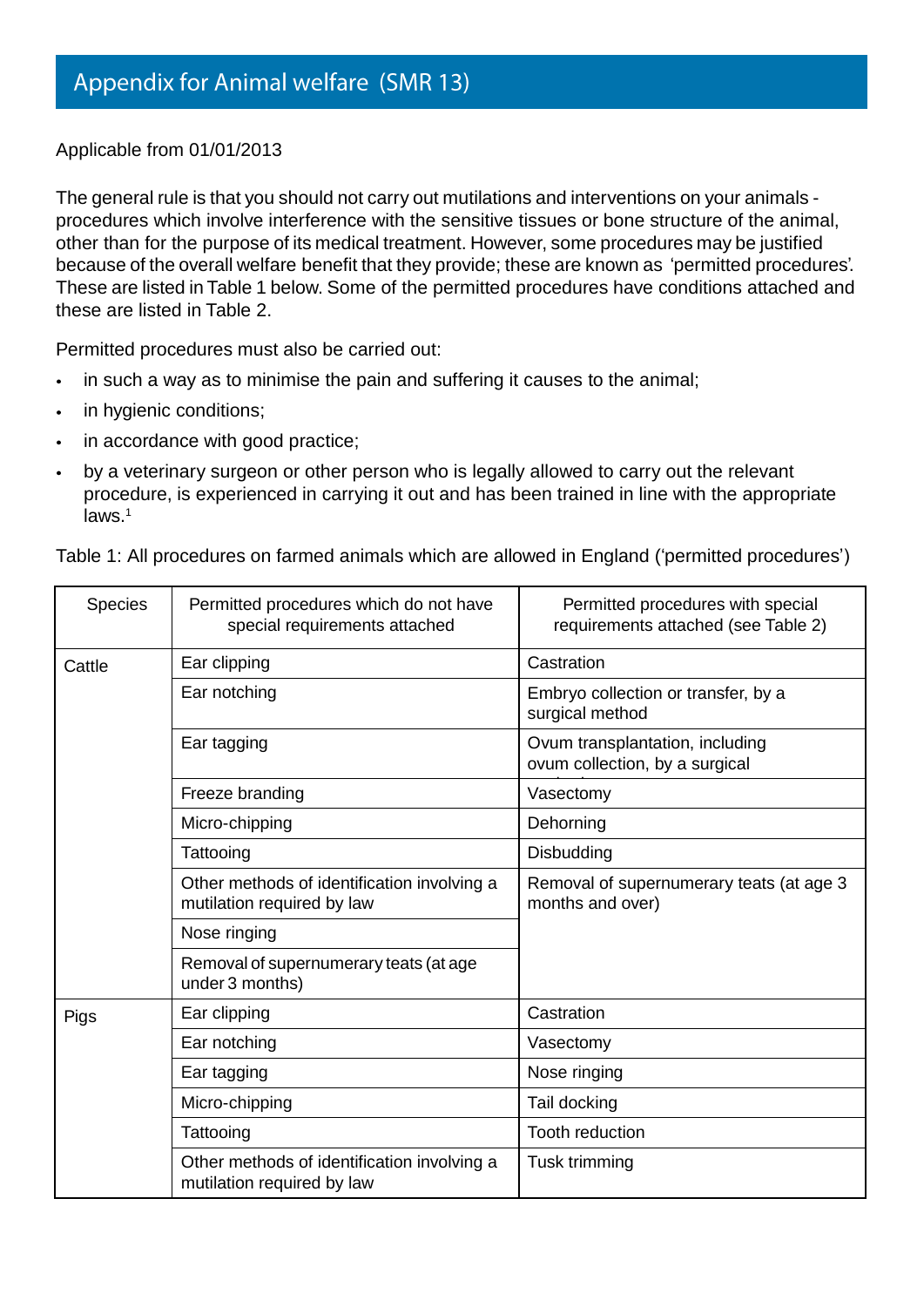Applicable from 01/01/2013

The general rule is that you should not carry out mutilations and interventions on your animals procedures which involve interference with the sensitive tissues or bone structure of the animal, other than for the purpose of its medical treatment. However, some procedures may be justified because of the overall welfare benefit that they provide; these are known as 'permitted procedures'. These are listed in Table 1 below. Some of the permitted procedures have conditions attached and these are listed in Table 2.

Permitted procedures must also be carried out:

- in such a way as to minimise the pain and suffering it causes to the animal;  $\ddot{\phantom{0}}$
- in hygienic conditions;  $\bullet$
- in accordance with good practice;
- by a veterinary surgeon or other person who is legally allowed to carry out the relevant  $\bullet$ procedure, is experienced in carrying it out and has been trained in line with the appropriate laws. 1

Table 1: All procedures on farmed animals which are allowed in England ('permitted procedures')

| <b>Species</b> | Permitted procedures which do not have<br>special requirements attached   | Permitted procedures with special<br>requirements attached (see Table 2) |  |
|----------------|---------------------------------------------------------------------------|--------------------------------------------------------------------------|--|
| Cattle         | Ear clipping                                                              | Castration                                                               |  |
|                | Ear notching                                                              | Embryo collection or transfer, by a<br>surgical method                   |  |
|                | Ear tagging                                                               | Ovum transplantation, including<br>ovum collection, by a surgical        |  |
|                | Freeze branding                                                           | Vasectomy                                                                |  |
|                | Micro-chipping                                                            | Dehorning                                                                |  |
|                | Tattooing                                                                 | Disbudding                                                               |  |
|                | Other methods of identification involving a<br>mutilation required by law | Removal of supernumerary teats (at age 3<br>months and over)             |  |
|                | Nose ringing                                                              |                                                                          |  |
|                | Removal of supernumerary teats (at age<br>under 3 months)                 |                                                                          |  |
| Pigs           | Ear clipping                                                              | Castration                                                               |  |
|                | Ear notching                                                              | Vasectomy                                                                |  |
|                | Ear tagging                                                               | Nose ringing                                                             |  |
|                | Micro-chipping                                                            | Tail docking                                                             |  |
|                | Tattooing                                                                 | <b>Tooth reduction</b>                                                   |  |
|                | Other methods of identification involving a<br>mutilation required by law | Tusk trimming                                                            |  |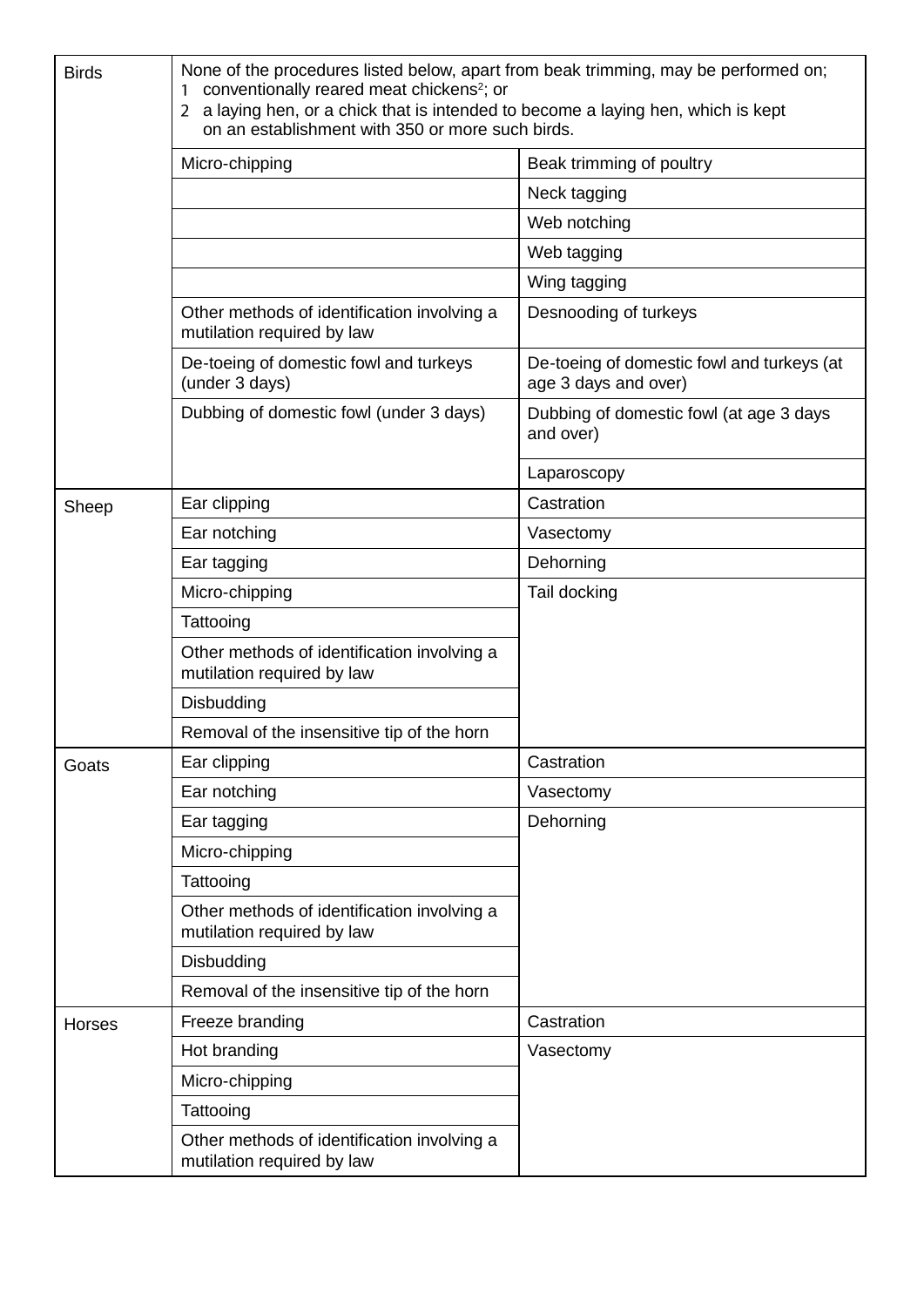| <b>Birds</b>  | None of the procedures listed below, apart from beak trimming, may be performed on;<br>conventionally reared meat chickens <sup>2</sup> ; or<br>2 a laying hen, or a chick that is intended to become a laying hen, which is kept<br>on an establishment with 350 or more such birds. |                                                                    |  |  |
|---------------|---------------------------------------------------------------------------------------------------------------------------------------------------------------------------------------------------------------------------------------------------------------------------------------|--------------------------------------------------------------------|--|--|
|               | Micro-chipping                                                                                                                                                                                                                                                                        | Beak trimming of poultry                                           |  |  |
|               |                                                                                                                                                                                                                                                                                       | Neck tagging                                                       |  |  |
|               |                                                                                                                                                                                                                                                                                       | Web notching                                                       |  |  |
|               |                                                                                                                                                                                                                                                                                       | Web tagging                                                        |  |  |
|               |                                                                                                                                                                                                                                                                                       | Wing tagging                                                       |  |  |
|               | Other methods of identification involving a<br>mutilation required by law                                                                                                                                                                                                             | Desnooding of turkeys                                              |  |  |
|               | De-toeing of domestic fowl and turkeys<br>(under 3 days)                                                                                                                                                                                                                              | De-toeing of domestic fowl and turkeys (at<br>age 3 days and over) |  |  |
|               | Dubbing of domestic fowl (under 3 days)                                                                                                                                                                                                                                               | Dubbing of domestic fowl (at age 3 days<br>and over)               |  |  |
|               |                                                                                                                                                                                                                                                                                       | Laparoscopy                                                        |  |  |
| Sheep         | Ear clipping                                                                                                                                                                                                                                                                          | Castration                                                         |  |  |
|               | Ear notching                                                                                                                                                                                                                                                                          | Vasectomy                                                          |  |  |
|               | Ear tagging                                                                                                                                                                                                                                                                           | Dehorning                                                          |  |  |
|               | Micro-chipping                                                                                                                                                                                                                                                                        | Tail docking                                                       |  |  |
|               | Tattooing                                                                                                                                                                                                                                                                             |                                                                    |  |  |
|               | Other methods of identification involving a<br>mutilation required by law                                                                                                                                                                                                             |                                                                    |  |  |
|               | Disbudding                                                                                                                                                                                                                                                                            |                                                                    |  |  |
|               | Removal of the insensitive tip of the horn                                                                                                                                                                                                                                            |                                                                    |  |  |
| Goats         | Ear clipping                                                                                                                                                                                                                                                                          | Castration                                                         |  |  |
|               | Ear notching                                                                                                                                                                                                                                                                          | Vasectomy                                                          |  |  |
|               | Ear tagging                                                                                                                                                                                                                                                                           | Dehorning                                                          |  |  |
|               | Micro-chipping                                                                                                                                                                                                                                                                        |                                                                    |  |  |
|               | Tattooing                                                                                                                                                                                                                                                                             |                                                                    |  |  |
|               | Other methods of identification involving a<br>mutilation required by law                                                                                                                                                                                                             |                                                                    |  |  |
|               | Disbudding                                                                                                                                                                                                                                                                            |                                                                    |  |  |
|               | Removal of the insensitive tip of the horn                                                                                                                                                                                                                                            |                                                                    |  |  |
| <b>Horses</b> | Freeze branding                                                                                                                                                                                                                                                                       | Castration                                                         |  |  |
|               | Hot branding                                                                                                                                                                                                                                                                          | Vasectomy                                                          |  |  |
|               | Micro-chipping                                                                                                                                                                                                                                                                        |                                                                    |  |  |
|               | Tattooing                                                                                                                                                                                                                                                                             |                                                                    |  |  |
|               | Other methods of identification involving a<br>mutilation required by law                                                                                                                                                                                                             |                                                                    |  |  |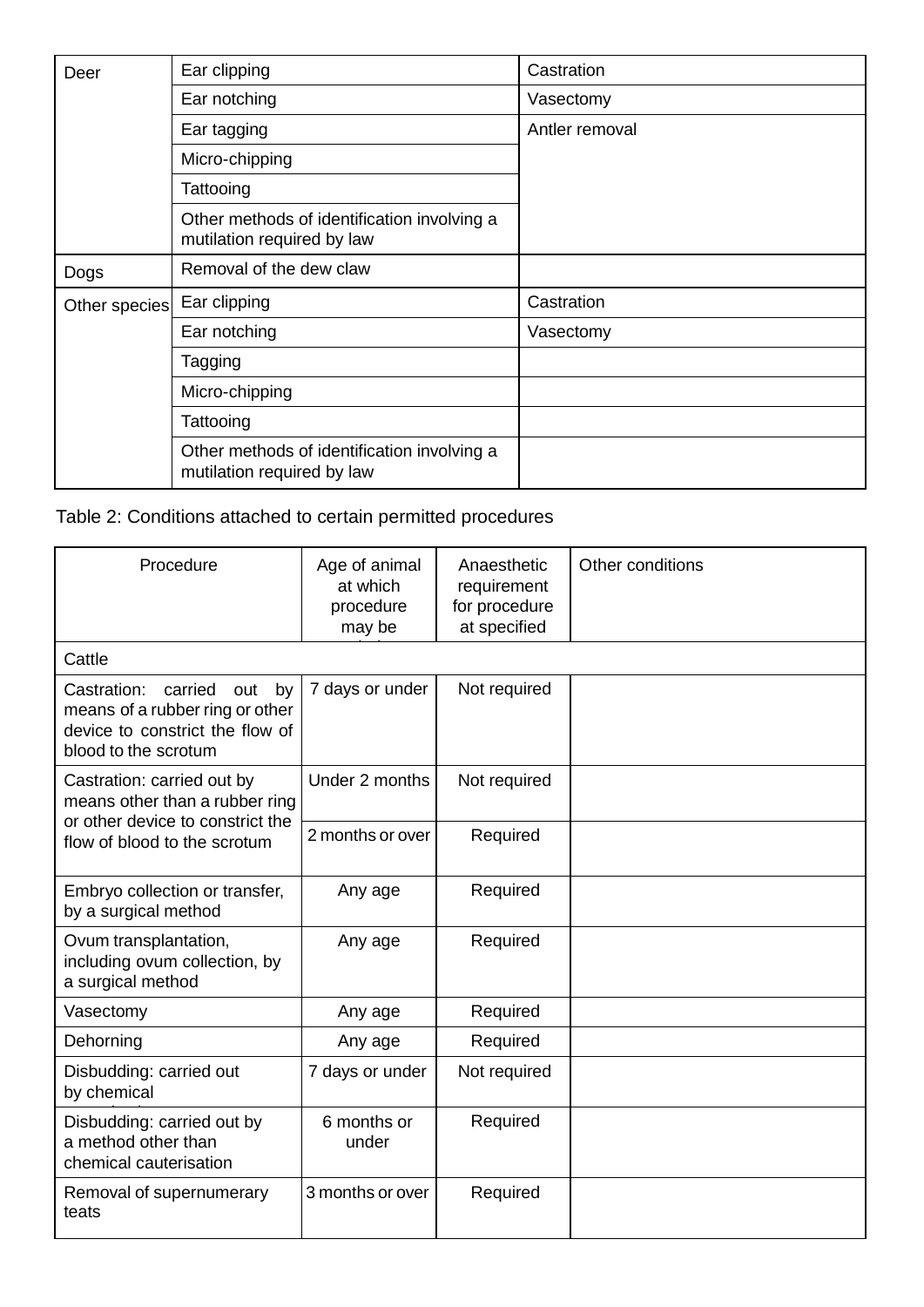| Deer          | Ear clipping                                                              | Castration     |
|---------------|---------------------------------------------------------------------------|----------------|
|               | Ear notching                                                              | Vasectomy      |
|               | Ear tagging                                                               | Antler removal |
|               | Micro-chipping                                                            |                |
|               | Tattooing                                                                 |                |
|               | Other methods of identification involving a<br>mutilation required by law |                |
| Dogs          | Removal of the dew claw                                                   |                |
| Other species | Ear clipping                                                              | Castration     |
|               | Ear notching                                                              | Vasectomy      |
|               | Tagging                                                                   |                |
|               | Micro-chipping                                                            |                |
|               | Tattooing                                                                 |                |
|               | Other methods of identification involving a<br>mutilation required by law |                |

## Table 2: Conditions attached to certain permitted procedures

| Procedure                                                                                                                         | Age of animal<br>at which<br>procedure<br>may be | Anaesthetic<br>requirement<br>for procedure<br>at specified | Other conditions |
|-----------------------------------------------------------------------------------------------------------------------------------|--------------------------------------------------|-------------------------------------------------------------|------------------|
| Cattle                                                                                                                            |                                                  |                                                             |                  |
| Castration:<br>carried<br>out<br>by<br>means of a rubber ring or other<br>device to constrict the flow of<br>blood to the scrotum | 7 days or under                                  | Not required                                                |                  |
| Castration: carried out by<br>means other than a rubber ring                                                                      | Under 2 months                                   | Not required                                                |                  |
| or other device to constrict the<br>flow of blood to the scrotum                                                                  | 2 months or over                                 | Required                                                    |                  |
| Embryo collection or transfer,<br>by a surgical method                                                                            | Any age                                          | Required                                                    |                  |
| Ovum transplantation,<br>including ovum collection, by<br>a surgical method                                                       | Any age                                          | Required                                                    |                  |
| Vasectomy                                                                                                                         | Any age                                          | Required                                                    |                  |
| Dehorning                                                                                                                         | Any age                                          | Required                                                    |                  |
| Disbudding: carried out<br>by chemical                                                                                            | 7 days or under                                  | Not required                                                |                  |
| Disbudding: carried out by<br>a method other than<br>chemical cauterisation                                                       | 6 months or<br>under                             | Required                                                    |                  |
| Removal of supernumerary<br>teats                                                                                                 | 3 months or over                                 | Required                                                    |                  |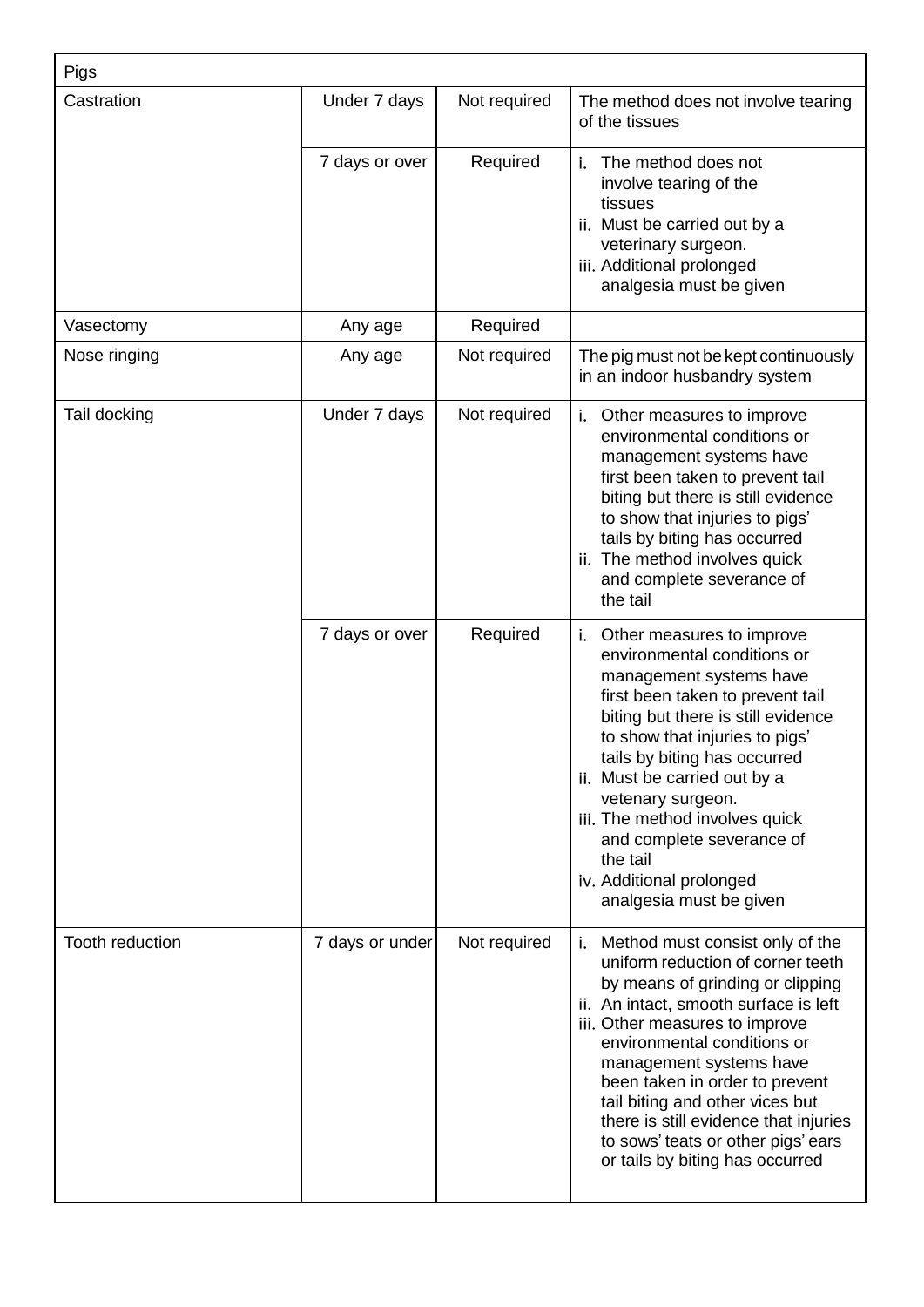| Pigs            |                 |              |                                                                                                                                                                                                                                                                                                                                                                                                                                         |  |
|-----------------|-----------------|--------------|-----------------------------------------------------------------------------------------------------------------------------------------------------------------------------------------------------------------------------------------------------------------------------------------------------------------------------------------------------------------------------------------------------------------------------------------|--|
| Castration      | Under 7 days    | Not required | The method does not involve tearing<br>of the tissues                                                                                                                                                                                                                                                                                                                                                                                   |  |
|                 | 7 days or over  | Required     | i.<br>The method does not<br>involve tearing of the<br>tissues<br>ii. Must be carried out by a<br>veterinary surgeon.<br>iii. Additional prolonged<br>analgesia must be given                                                                                                                                                                                                                                                           |  |
| Vasectomy       | Any age         | Required     |                                                                                                                                                                                                                                                                                                                                                                                                                                         |  |
| Nose ringing    | Any age         | Not required | The pig must not be kept continuously<br>in an indoor husbandry system                                                                                                                                                                                                                                                                                                                                                                  |  |
| Tail docking    | Under 7 days    | Not required | <i>i.</i> Other measures to improve<br>environmental conditions or<br>management systems have<br>first been taken to prevent tail<br>biting but there is still evidence<br>to show that injuries to pigs'<br>tails by biting has occurred<br>ii. The method involves quick<br>and complete severance of<br>the tail                                                                                                                     |  |
|                 | 7 days or over  | Required     | Other measures to improve<br>j.<br>environmental conditions or<br>management systems have<br>first been taken to prevent tail<br>biting but there is still evidence<br>to show that injuries to pigs'<br>tails by biting has occurred<br>ii. Must be carried out by a<br>vetenary surgeon.<br>iii. The method involves quick<br>and complete severance of<br>the tail<br>iv. Additional prolonged<br>analgesia must be given            |  |
| Tooth reduction | 7 days or under | Not required | i. Method must consist only of the<br>uniform reduction of corner teeth<br>by means of grinding or clipping<br>ii. An intact, smooth surface is left<br>iii. Other measures to improve<br>environmental conditions or<br>management systems have<br>been taken in order to prevent<br>tail biting and other vices but<br>there is still evidence that injuries<br>to sows' teats or other pigs' ears<br>or tails by biting has occurred |  |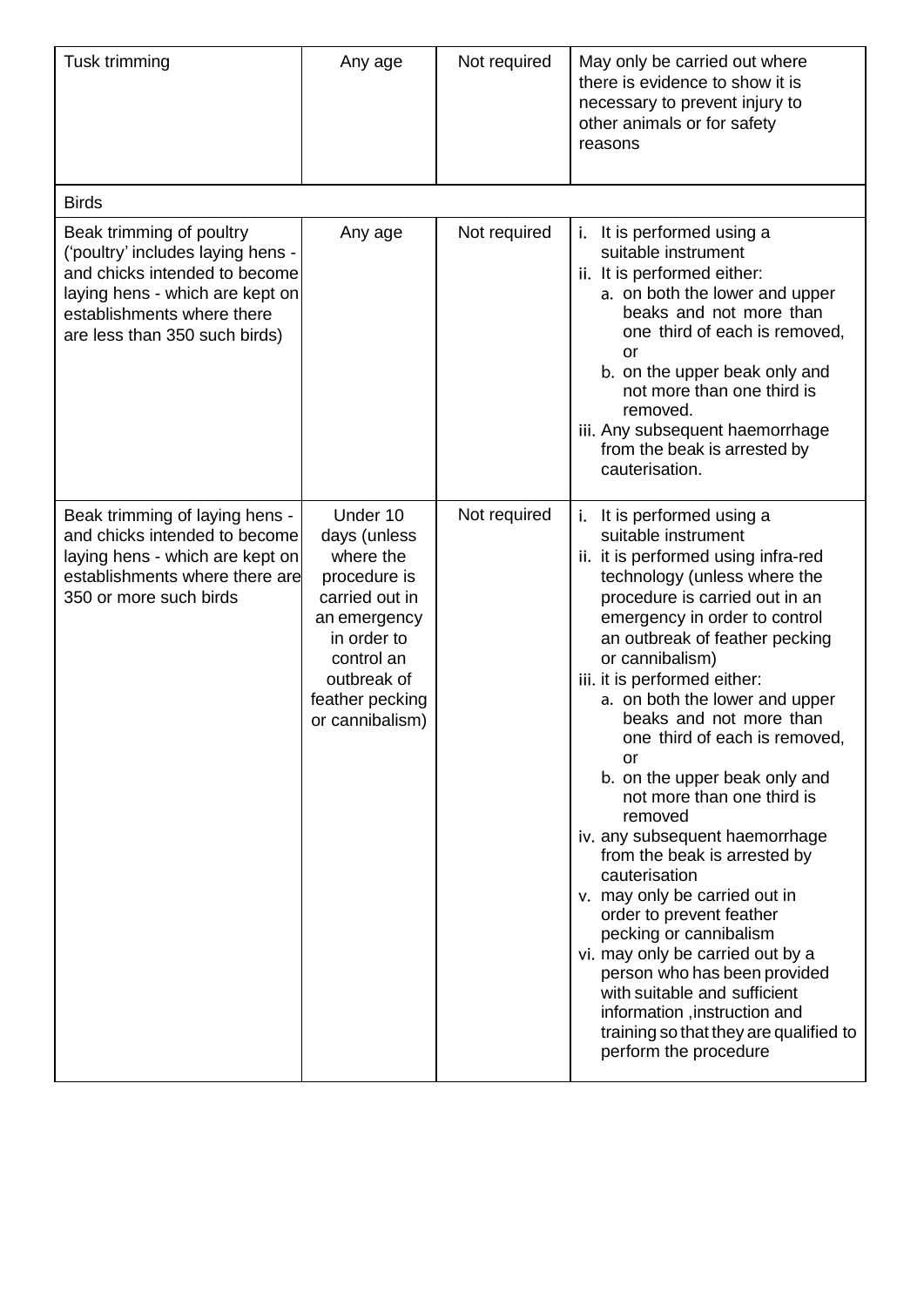| Tusk trimming                                                                                                                                                                                    | Any age                                                                                                                                                                   | Not required | May only be carried out where<br>there is evidence to show it is<br>necessary to prevent injury to<br>other animals or for safety<br>reasons                                                                                                                                                                                                                                                                                                                                                                                                                                                                                                                                                                                                                                                                                                      |
|--------------------------------------------------------------------------------------------------------------------------------------------------------------------------------------------------|---------------------------------------------------------------------------------------------------------------------------------------------------------------------------|--------------|---------------------------------------------------------------------------------------------------------------------------------------------------------------------------------------------------------------------------------------------------------------------------------------------------------------------------------------------------------------------------------------------------------------------------------------------------------------------------------------------------------------------------------------------------------------------------------------------------------------------------------------------------------------------------------------------------------------------------------------------------------------------------------------------------------------------------------------------------|
| <b>Birds</b>                                                                                                                                                                                     |                                                                                                                                                                           |              |                                                                                                                                                                                                                                                                                                                                                                                                                                                                                                                                                                                                                                                                                                                                                                                                                                                   |
| Beak trimming of poultry<br>('poultry' includes laying hens -<br>and chicks intended to become<br>laying hens - which are kept on<br>establishments where there<br>are less than 350 such birds) | Any age                                                                                                                                                                   | Not required | It is performed using a<br>i.<br>suitable instrument<br>ii. It is performed either:<br>a. on both the lower and upper<br>beaks and not more than<br>one third of each is removed,<br>or<br>b. on the upper beak only and<br>not more than one third is<br>removed.<br>iii. Any subsequent haemorrhage<br>from the beak is arrested by<br>cauterisation.                                                                                                                                                                                                                                                                                                                                                                                                                                                                                           |
| Beak trimming of laying hens -<br>and chicks intended to become<br>laying hens - which are kept on<br>establishments where there are<br>350 or more such birds                                   | Under 10<br>days (unless<br>where the<br>procedure is<br>carried out in<br>an emergency<br>in order to<br>control an<br>outbreak of<br>feather pecking<br>or cannibalism) | Not required | It is performed using a<br>i.<br>suitable instrument<br>ii. it is performed using infra-red<br>technology (unless where the<br>procedure is carried out in an<br>emergency in order to control<br>an outbreak of feather pecking<br>or cannibalism)<br>iii. it is performed either:<br>a. on both the lower and upper<br>beaks and not more than<br>one third of each is removed<br>or<br>b. on the upper beak only and<br>not more than one third is<br>removed<br>iv. any subsequent haemorrhage<br>from the beak is arrested by<br>cauterisation<br>v. may only be carried out in<br>order to prevent feather<br>pecking or cannibalism<br>vi. may only be carried out by a<br>person who has been provided<br>with suitable and sufficient<br>information, instruction and<br>training so that they are qualified to<br>perform the procedure |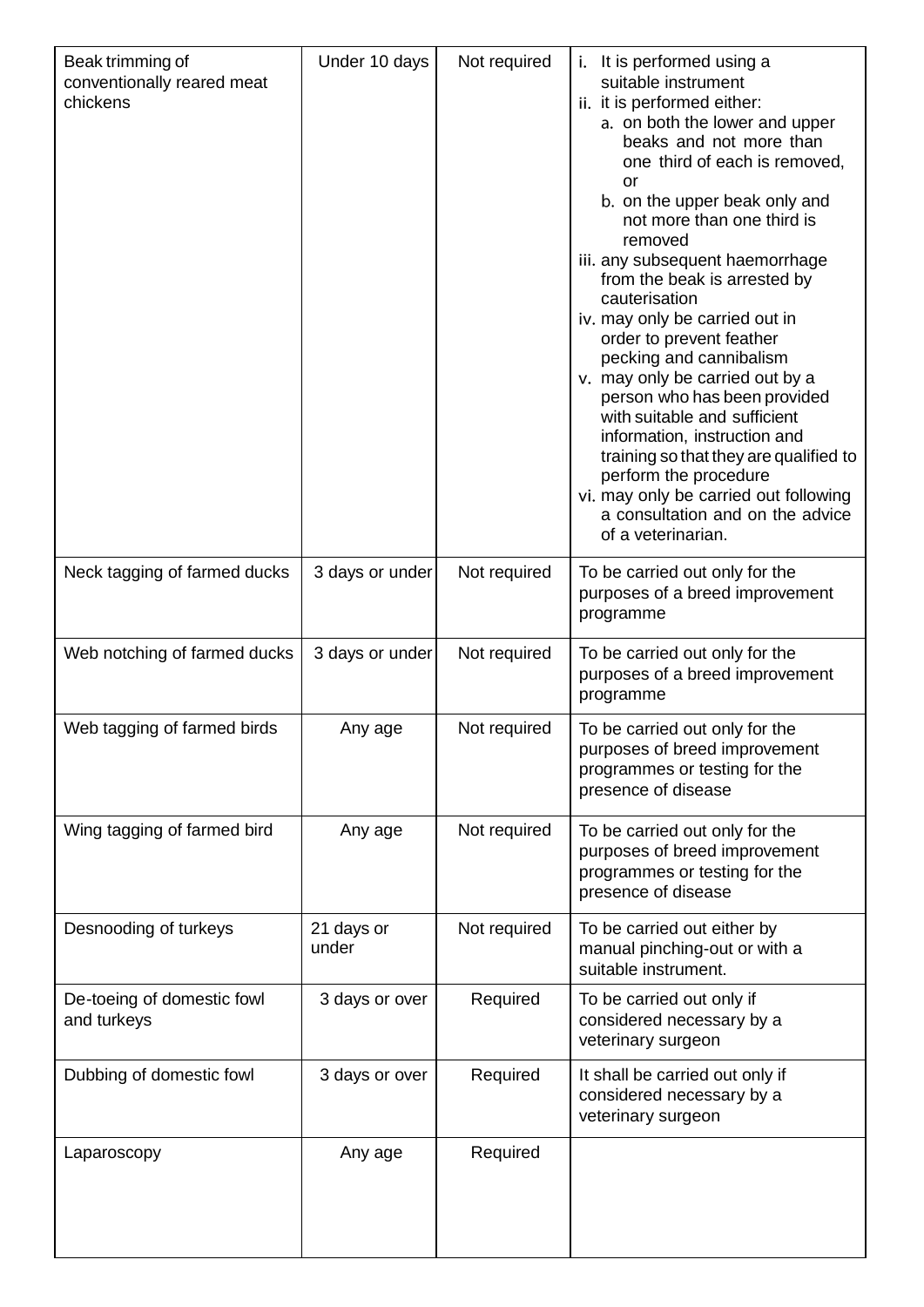| Beak trimming of<br>conventionally reared meat<br>chickens | Under 10 days       | Not required | i. It is performed using a<br>suitable instrument<br>ii. it is performed either:<br>a. on both the lower and upper<br>beaks and not more than<br>one third of each is removed,<br>or<br>b. on the upper beak only and<br>not more than one third is<br>removed<br>iii. any subsequent haemorrhage<br>from the beak is arrested by<br>cauterisation<br>iv. may only be carried out in<br>order to prevent feather<br>pecking and cannibalism<br>v. may only be carried out by a<br>person who has been provided<br>with suitable and sufficient<br>information, instruction and<br>training so that they are qualified to<br>perform the procedure<br>vi. may only be carried out following<br>a consultation and on the advice<br>of a veterinarian. |
|------------------------------------------------------------|---------------------|--------------|------------------------------------------------------------------------------------------------------------------------------------------------------------------------------------------------------------------------------------------------------------------------------------------------------------------------------------------------------------------------------------------------------------------------------------------------------------------------------------------------------------------------------------------------------------------------------------------------------------------------------------------------------------------------------------------------------------------------------------------------------|
| Neck tagging of farmed ducks                               | 3 days or under     | Not required | To be carried out only for the<br>purposes of a breed improvement<br>programme                                                                                                                                                                                                                                                                                                                                                                                                                                                                                                                                                                                                                                                                       |
| Web notching of farmed ducks                               | 3 days or under     | Not required | To be carried out only for the<br>purposes of a breed improvement<br>programme                                                                                                                                                                                                                                                                                                                                                                                                                                                                                                                                                                                                                                                                       |
| Web tagging of farmed birds                                | Any age             | Not required | To be carried out only for the<br>purposes of breed improvement<br>programmes or testing for the<br>presence of disease                                                                                                                                                                                                                                                                                                                                                                                                                                                                                                                                                                                                                              |
| Wing tagging of farmed bird                                | Any age             | Not required | To be carried out only for the<br>purposes of breed improvement<br>programmes or testing for the<br>presence of disease                                                                                                                                                                                                                                                                                                                                                                                                                                                                                                                                                                                                                              |
| Desnooding of turkeys                                      | 21 days or<br>under | Not required | To be carried out either by<br>manual pinching-out or with a<br>suitable instrument.                                                                                                                                                                                                                                                                                                                                                                                                                                                                                                                                                                                                                                                                 |
| De-toeing of domestic fowl<br>and turkeys                  | 3 days or over      | Required     | To be carried out only if<br>considered necessary by a<br>veterinary surgeon                                                                                                                                                                                                                                                                                                                                                                                                                                                                                                                                                                                                                                                                         |
| Dubbing of domestic fowl                                   | 3 days or over      | Required     | It shall be carried out only if<br>considered necessary by a<br>veterinary surgeon                                                                                                                                                                                                                                                                                                                                                                                                                                                                                                                                                                                                                                                                   |
| Laparoscopy                                                | Any age             | Required     |                                                                                                                                                                                                                                                                                                                                                                                                                                                                                                                                                                                                                                                                                                                                                      |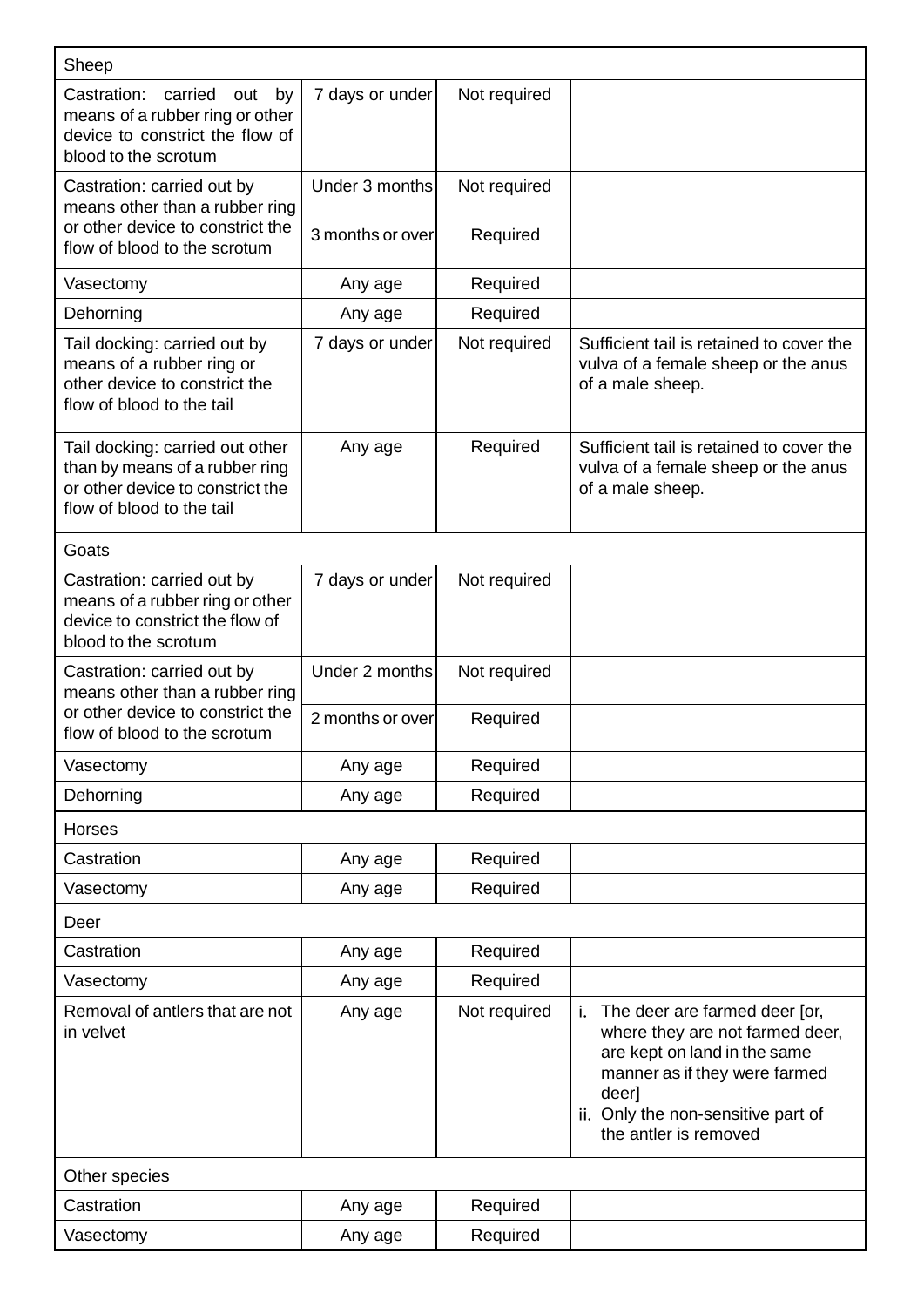| Sheep                                                                                                                              |                  |              |                                                                                                                                                                                                                 |  |  |
|------------------------------------------------------------------------------------------------------------------------------------|------------------|--------------|-----------------------------------------------------------------------------------------------------------------------------------------------------------------------------------------------------------------|--|--|
| Castration:<br>carried<br>out<br>by<br>means of a rubber ring or other<br>device to constrict the flow of<br>blood to the scrotum  | 7 days or under  | Not required |                                                                                                                                                                                                                 |  |  |
| Castration: carried out by<br>means other than a rubber ring                                                                       | Under 3 months   | Not required |                                                                                                                                                                                                                 |  |  |
| or other device to constrict the<br>flow of blood to the scrotum                                                                   | 3 months or over | Required     |                                                                                                                                                                                                                 |  |  |
| Vasectomy                                                                                                                          | Any age          | Required     |                                                                                                                                                                                                                 |  |  |
| Dehorning                                                                                                                          | Any age          | Required     |                                                                                                                                                                                                                 |  |  |
| Tail docking: carried out by<br>means of a rubber ring or<br>other device to constrict the<br>flow of blood to the tail            | 7 days or under  | Not required | Sufficient tail is retained to cover the<br>vulva of a female sheep or the anus<br>of a male sheep.                                                                                                             |  |  |
| Tail docking: carried out other<br>than by means of a rubber ring<br>or other device to constrict the<br>flow of blood to the tail | Any age          | Required     | Sufficient tail is retained to cover the<br>vulva of a female sheep or the anus<br>of a male sheep.                                                                                                             |  |  |
| Goats                                                                                                                              |                  |              |                                                                                                                                                                                                                 |  |  |
| Castration: carried out by<br>means of a rubber ring or other<br>device to constrict the flow of<br>blood to the scrotum           | 7 days or under  | Not required |                                                                                                                                                                                                                 |  |  |
| Castration: carried out by<br>means other than a rubber ring                                                                       | Under 2 months   | Not required |                                                                                                                                                                                                                 |  |  |
| or other device to constrict the<br>flow of blood to the scrotum                                                                   | 2 months or over | Required     |                                                                                                                                                                                                                 |  |  |
| Vasectomy                                                                                                                          | Any age          | Required     |                                                                                                                                                                                                                 |  |  |
| Dehorning                                                                                                                          | Any age          | Required     |                                                                                                                                                                                                                 |  |  |
| <b>Horses</b>                                                                                                                      |                  |              |                                                                                                                                                                                                                 |  |  |
| Castration                                                                                                                         | Any age          | Required     |                                                                                                                                                                                                                 |  |  |
| Vasectomy                                                                                                                          | Any age          | Required     |                                                                                                                                                                                                                 |  |  |
| Deer                                                                                                                               |                  |              |                                                                                                                                                                                                                 |  |  |
| Castration                                                                                                                         | Any age          | Required     |                                                                                                                                                                                                                 |  |  |
| Vasectomy                                                                                                                          | Any age          | Required     |                                                                                                                                                                                                                 |  |  |
| Removal of antlers that are not<br>in velvet                                                                                       | Any age          | Not required | i.<br>The deer are farmed deer [or,<br>where they are not farmed deer,<br>are kept on land in the same<br>manner as if they were farmed<br>deer]<br>ii. Only the non-sensitive part of<br>the antler is removed |  |  |
| Other species                                                                                                                      |                  |              |                                                                                                                                                                                                                 |  |  |
| Castration                                                                                                                         | Any age          | Required     |                                                                                                                                                                                                                 |  |  |
| Vasectomy                                                                                                                          | Any age          | Required     |                                                                                                                                                                                                                 |  |  |